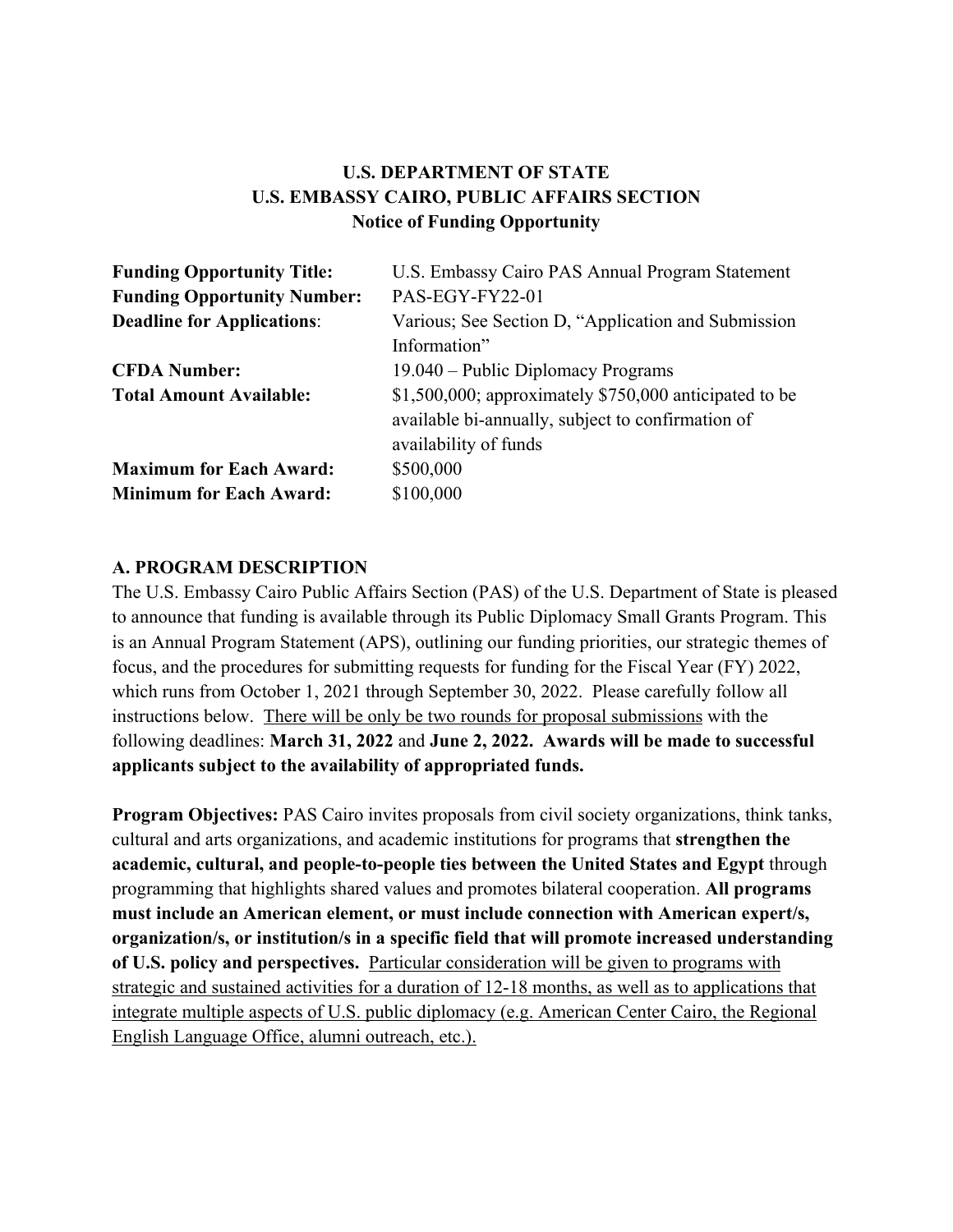# **U.S. DEPARTMENT OF STATE U.S. EMBASSY CAIRO, PUBLIC AFFAIRS SECTION Notice of Funding Opportunity**

| <b>Funding Opportunity Title:</b>  | U.S. Embassy Cairo PAS Annual Program Statement           |
|------------------------------------|-----------------------------------------------------------|
| <b>Funding Opportunity Number:</b> | PAS-EGY-FY22-01                                           |
| <b>Deadline for Applications:</b>  | Various; See Section D, "Application and Submission       |
|                                    | Information"                                              |
| <b>CFDA Number:</b>                | 19.040 – Public Diplomacy Programs                        |
| <b>Total Amount Available:</b>     | $$1,500,000$ ; approximately $$750,000$ anticipated to be |
|                                    | available bi-annually, subject to confirmation of         |
|                                    | availability of funds                                     |
| <b>Maximum for Each Award:</b>     | \$500,000                                                 |
| <b>Minimum for Each Award:</b>     | \$100,000                                                 |

#### **A. PROGRAM DESCRIPTION**

The U.S. Embassy Cairo Public Affairs Section (PAS) of the U.S. Department of State is pleased to announce that funding is available through its Public Diplomacy Small Grants Program. This is an Annual Program Statement (APS), outlining our funding priorities, our strategic themes of focus, and the procedures for submitting requests for funding for the Fiscal Year (FY) 2022, which runs from October 1, 2021 through September 30, 2022. Please carefully follow all instructions below. There will be only be two rounds for proposal submissions with the following deadlines: **March 31, 2022** and **June 2, 2022. Awards will be made to successful applicants subject to the availability of appropriated funds.**

**Program Objectives:** PAS Cairo invites proposals from civil society organizations, think tanks, cultural and arts organizations, and academic institutions for programs that **strengthen the academic, cultural, and people-to-people ties between the United States and Egypt** through programming that highlights shared values and promotes bilateral cooperation. **All programs must include an American element, or must include connection with American expert/s, organization/s, or institution/s in a specific field that will promote increased understanding of U.S. policy and perspectives.** Particular consideration will be given to programs with strategic and sustained activities for a duration of 12-18 months, as well as to applications that integrate multiple aspects of U.S. public diplomacy (e.g. American Center Cairo, the Regional English Language Office, alumni outreach, etc.).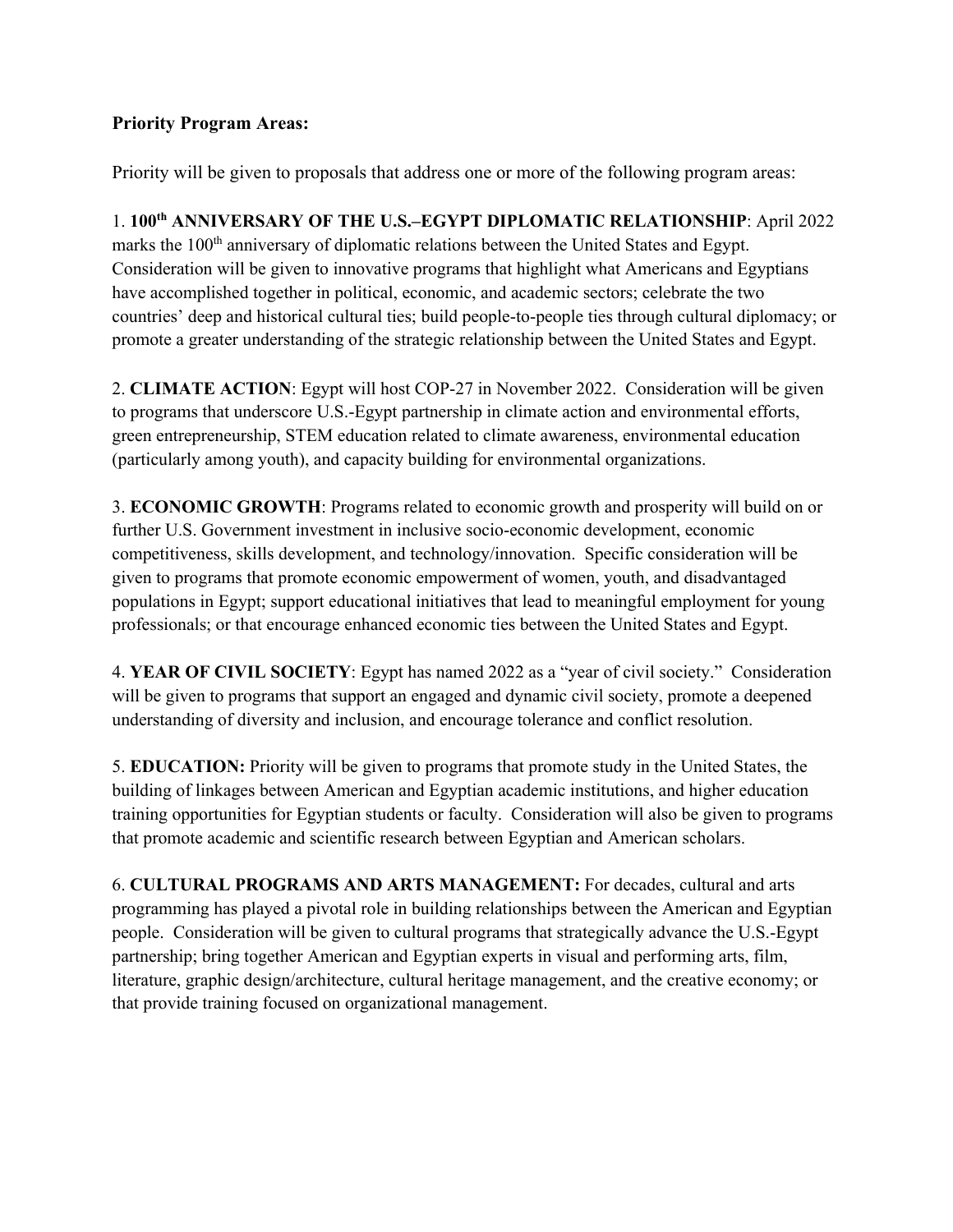### **Priority Program Areas:**

Priority will be given to proposals that address one or more of the following program areas:

1. **100th ANNIVERSARY OF THE U.S.–EGYPT DIPLOMATIC RELATIONSHIP**: April 2022 marks the 100<sup>th</sup> anniversary of diplomatic relations between the United States and Egypt. Consideration will be given to innovative programs that highlight what Americans and Egyptians have accomplished together in political, economic, and academic sectors; celebrate the two countries' deep and historical cultural ties; build people-to-people ties through cultural diplomacy; or promote a greater understanding of the strategic relationship between the United States and Egypt.

2. **CLIMATE ACTION**: Egypt will host COP-27 in November 2022. Consideration will be given to programs that underscore U.S.-Egypt partnership in climate action and environmental efforts, green entrepreneurship, STEM education related to climate awareness, environmental education (particularly among youth), and capacity building for environmental organizations.

3. **ECONOMIC GROWTH**: Programs related to economic growth and prosperity will build on or further U.S. Government investment in inclusive socio-economic development, economic competitiveness, skills development, and technology/innovation. Specific consideration will be given to programs that promote economic empowerment of women, youth, and disadvantaged populations in Egypt; support educational initiatives that lead to meaningful employment for young professionals; or that encourage enhanced economic ties between the United States and Egypt.

4. **YEAR OF CIVIL SOCIETY**: Egypt has named 2022 as a "year of civil society." Consideration will be given to programs that support an engaged and dynamic civil society, promote a deepened understanding of diversity and inclusion, and encourage tolerance and conflict resolution.

5. **EDUCATION:** Priority will be given to programs that promote study in the United States, the building of linkages between American and Egyptian academic institutions, and higher education training opportunities for Egyptian students or faculty. Consideration will also be given to programs that promote academic and scientific research between Egyptian and American scholars.

6. **CULTURAL PROGRAMS AND ARTS MANAGEMENT:** For decades, cultural and arts programming has played a pivotal role in building relationships between the American and Egyptian people. Consideration will be given to cultural programs that strategically advance the U.S.-Egypt partnership; bring together American and Egyptian experts in visual and performing arts, film, literature, graphic design/architecture, cultural heritage management, and the creative economy; or that provide training focused on organizational management.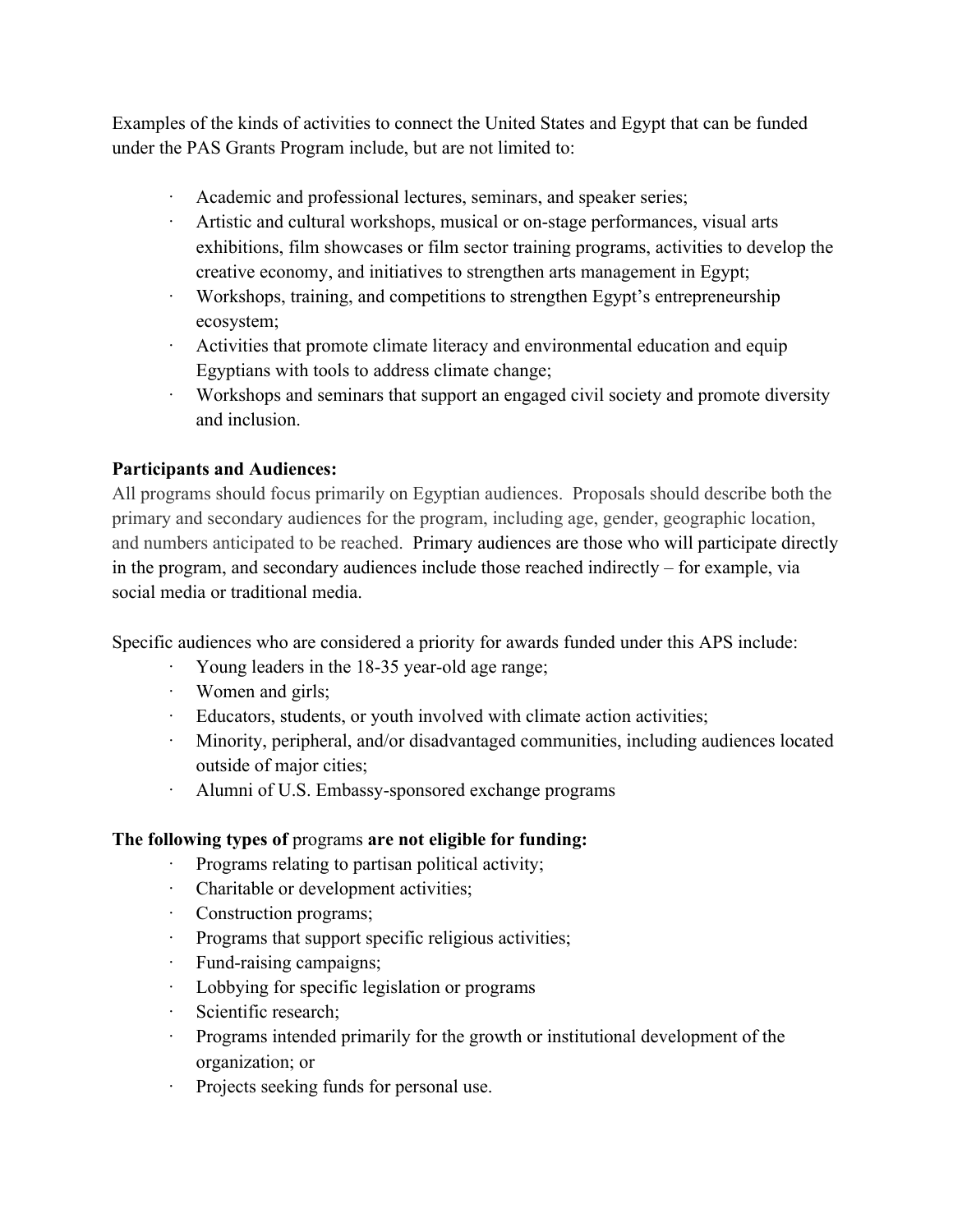Examples of the kinds of activities to connect the United States and Egypt that can be funded under the PAS Grants Program include, but are not limited to:

- Academic and professional lectures, seminars, and speaker series;
- · Artistic and cultural workshops, musical or on-stage performances, visual arts exhibitions, film showcases or film sector training programs, activities to develop the creative economy, and initiatives to strengthen arts management in Egypt;
- Workshops, training, and competitions to strengthen Egypt's entrepreneurship ecosystem;
- · Activities that promote climate literacy and environmental education and equip Egyptians with tools to address climate change;
- · Workshops and seminars that support an engaged civil society and promote diversity and inclusion.

### **Participants and Audiences:**

All programs should focus primarily on Egyptian audiences. Proposals should describe both the primary and secondary audiences for the program, including age, gender, geographic location, and numbers anticipated to be reached. Primary audiences are those who will participate directly in the program, and secondary audiences include those reached indirectly – for example, via social media or traditional media.

Specific audiences who are considered a priority for awards funded under this APS include:

- · Young leaders in the 18-35 year-old age range;
- · Women and girls;
- · Educators, students, or youth involved with climate action activities;
- · Minority, peripheral, and/or disadvantaged communities, including audiences located outside of major cities;
- Alumni of U.S. Embassy-sponsored exchange programs

### **The following types of** programs **are not eligible for funding:**

- · Programs relating to partisan political activity;
- · Charitable or development activities;
- · Construction programs;
- Programs that support specific religious activities;
- · Fund-raising campaigns;
- · Lobbying for specific legislation or programs
- · Scientific research;
- · Programs intended primarily for the growth or institutional development of the organization; or
- Projects seeking funds for personal use.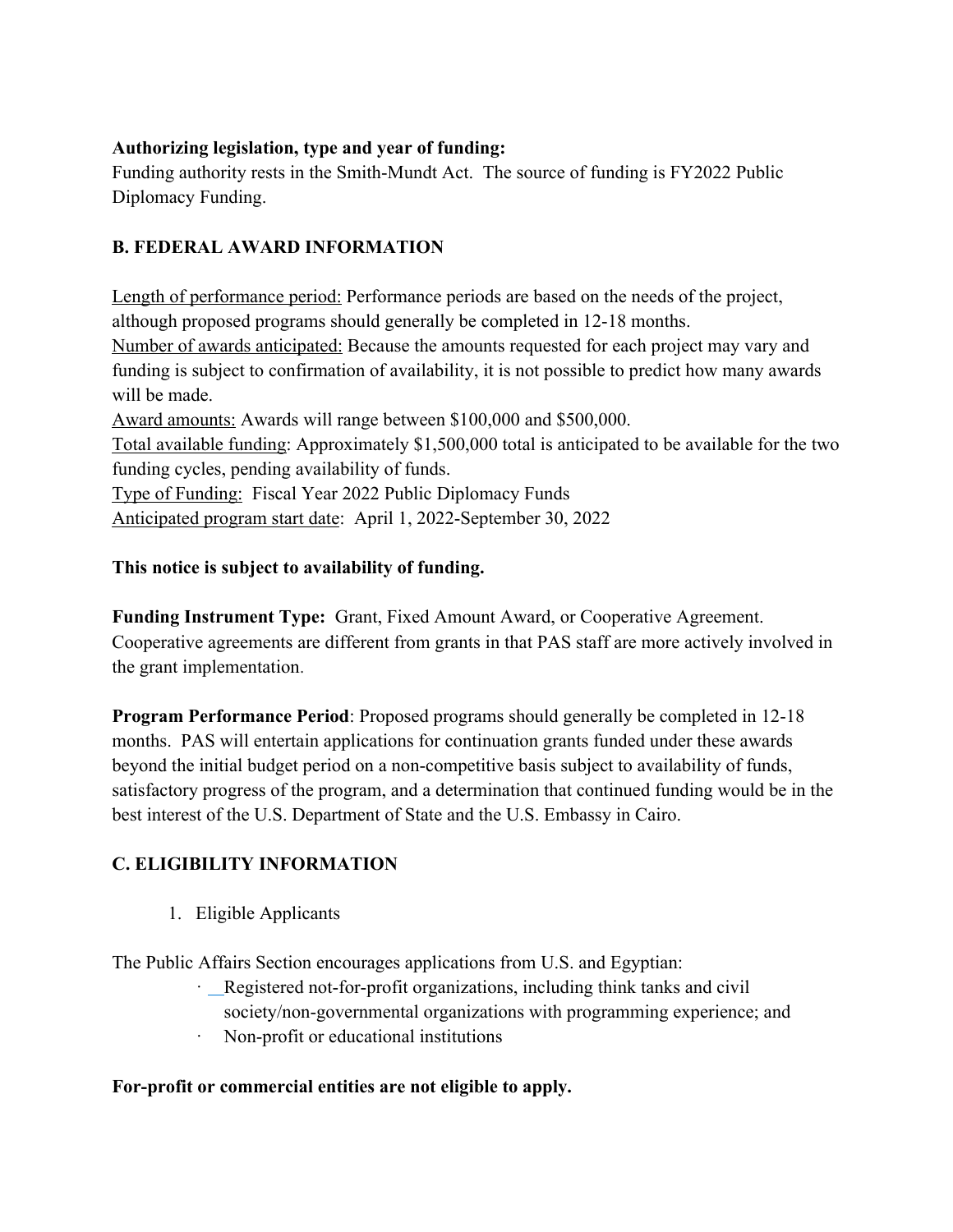### **Authorizing legislation, type and year of funding:**

Funding authority rests in the Smith-Mundt Act. The source of funding is FY2022 Public Diplomacy Funding.

# **B. FEDERAL AWARD INFORMATION**

Length of performance period: Performance periods are based on the needs of the project, although proposed programs should generally be completed in 12-18 months. Number of awards anticipated: Because the amounts requested for each project may vary and funding is subject to confirmation of availability, it is not possible to predict how many awards will be made. Award amounts: Awards will range between \$100,000 and \$500,000. Total available funding: Approximately \$1,500,000 total is anticipated to be available for the two funding cycles, pending availability of funds. Type of Funding: Fiscal Year 2022 Public Diplomacy Funds Anticipated program start date: April 1, 2022-September 30, 2022

## **This notice is subject to availability of funding.**

**Funding Instrument Type:** Grant, Fixed Amount Award, or Cooperative Agreement. Cooperative agreements are different from grants in that PAS staff are more actively involved in the grant implementation.

**Program Performance Period**: Proposed programs should generally be completed in 12-18 months. PAS will entertain applications for continuation grants funded under these awards beyond the initial budget period on a non-competitive basis subject to availability of funds, satisfactory progress of the program, and a determination that continued funding would be in the best interest of the U.S. Department of State and the U.S. Embassy in Cairo.

## **C. ELIGIBILITY INFORMATION**

1. Eligible Applicants

The Public Affairs Section encourages applications from U.S. and Egyptian:

- · Registered not-for-profit organizations, including think tanks and civil society/non-governmental organizations with programming experience; and
- · Non-profit or educational institutions

### **For-profit or commercial entities are not eligible to apply.**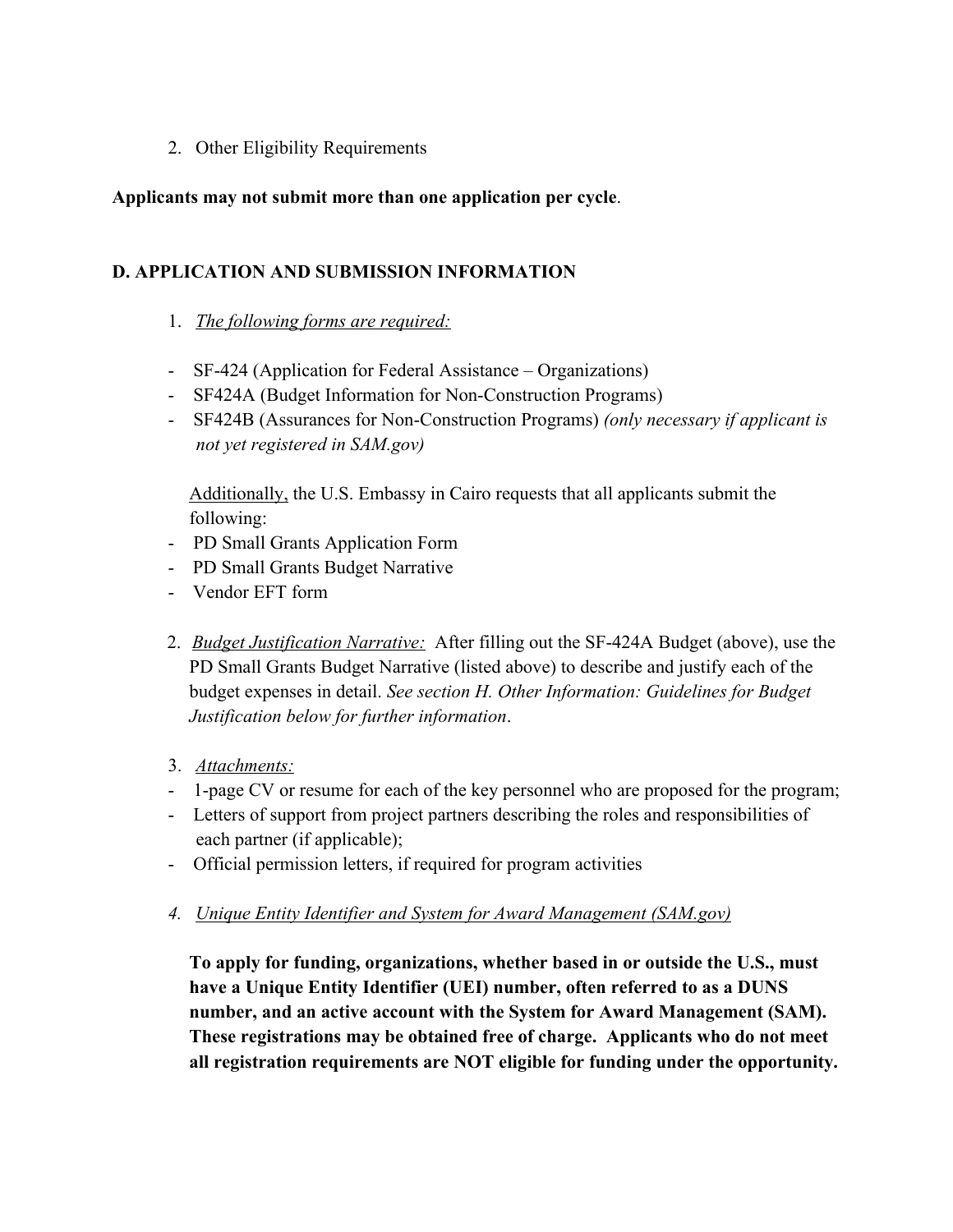2. Other Eligibility Requirements

#### **Applicants may not submit more than one application per cycle**.

#### **D. APPLICATION AND SUBMISSION INFORMATION**

#### 1. *The following forms are required:*

- SF-424 (Application for Federal Assistance Organizations)
- SF424A (Budget Information for Non-Construction Programs)
- SF424B (Assurances for Non-Construction Programs) *(only necessary if applicant is not yet registered in SAM.gov)*

Additionally, the U.S. Embassy in Cairo requests that all applicants submit the following:

- PD Small Grants Application Form
- PD Small Grants Budget Narrative
- Vendor EFT form
- 2. *Budget Justification Narrative:* After filling out the SF-424A Budget (above), use the PD Small Grants Budget Narrative (listed above) to describe and justify each of the budget expenses in detail. *See section H. Other Information: Guidelines for Budget Justification below for further information*.
- 3. *Attachments:*
- 1-page CV or resume for each of the key personnel who are proposed for the program;
- Letters of support from project partners describing the roles and responsibilities of each partner (if applicable);
- Official permission letters, if required for program activities
- *4. Unique Entity Identifier and System for Award Management (SAM.gov)*

**To apply for funding, organizations, whether based in or outside the U.S., must have a Unique Entity Identifier (UEI) number, often referred to as a DUNS number, and an active account with the System for Award Management (SAM). These registrations may be obtained free of charge. Applicants who do not meet all registration requirements are NOT eligible for funding under the opportunity.**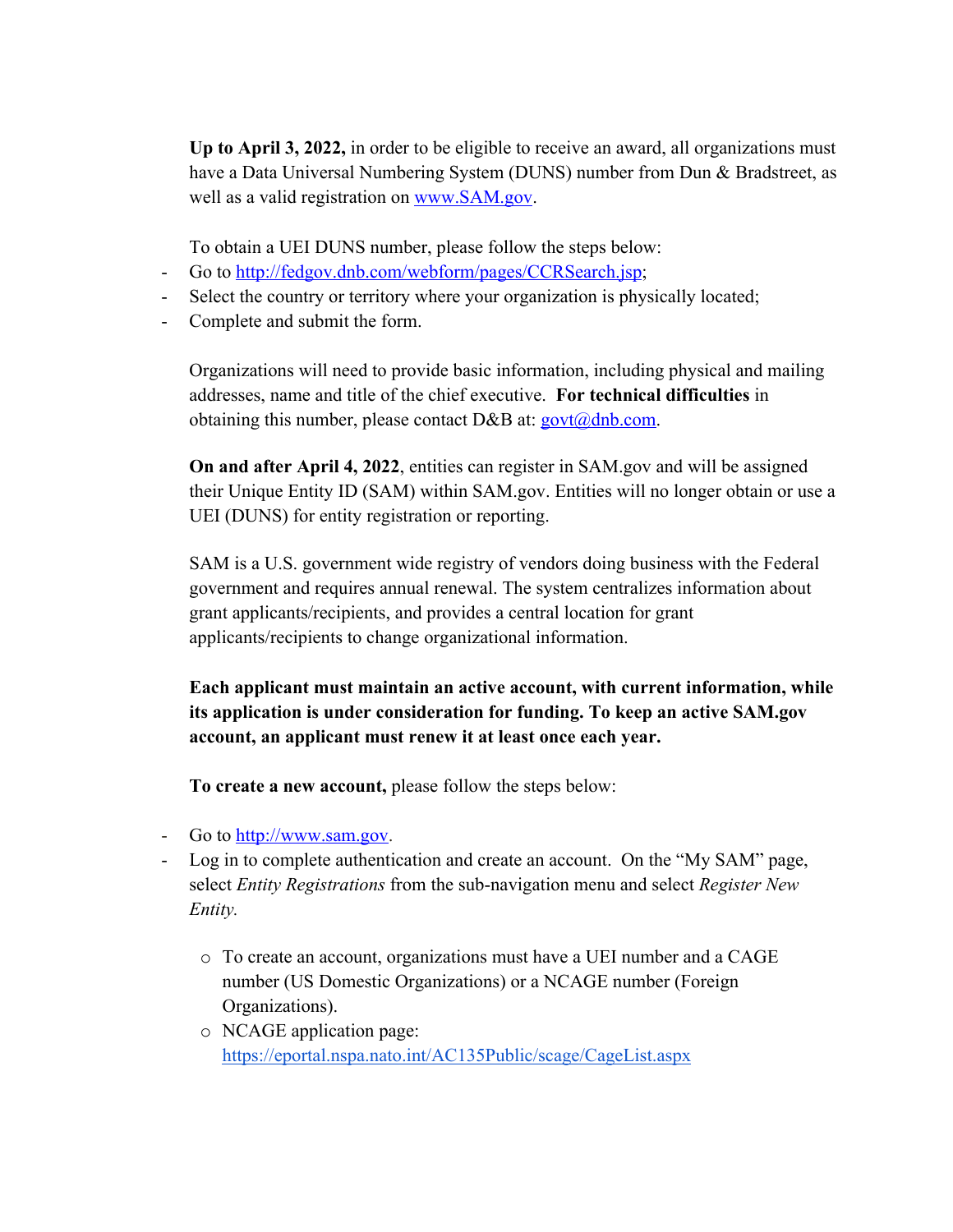**Up to April 3, 2022,** in order to be eligible to receive an award, all organizations must have a Data Universal Numbering System (DUNS) number from Dun & Bradstreet, as well as a valid registration on www.SAM.gov.

To obtain a UEI DUNS number, please follow the steps below:

- Go to http://fedgov.dnb.com/webform/pages/CCRSearch.jsp;
- Select the country or territory where your organization is physically located;
- Complete and submit the form.

Organizations will need to provide basic information, including physical and mailing addresses, name and title of the chief executive. **For technical difficulties** in obtaining this number, please contact D&B at:  $gov(a)$ dnb.com.

**On and after April 4, 2022**, entities can register in SAM.gov and will be assigned their Unique Entity ID (SAM) within SAM.gov. Entities will no longer obtain or use a UEI (DUNS) for entity registration or reporting.

SAM is a U.S. government wide registry of vendors doing business with the Federal government and requires annual renewal. The system centralizes information about grant applicants/recipients, and provides a central location for grant applicants/recipients to change organizational information.

**Each applicant must maintain an active account, with current information, while its application is under consideration for funding. To keep an active SAM.gov account, an applicant must renew it at least once each year.** 

**To create a new account,** please follow the steps below:

- Go to http://www.sam.gov.
- Log in to complete authentication and create an account. On the "My SAM" page, select *Entity Registrations* from the sub-navigation menu and select *Register New Entity.*
	- o To create an account, organizations must have a UEI number and a CAGE number (US Domestic Organizations) or a NCAGE number (Foreign Organizations).
	- o NCAGE application page: https://eportal.nspa.nato.int/AC135Public/scage/CageList.aspx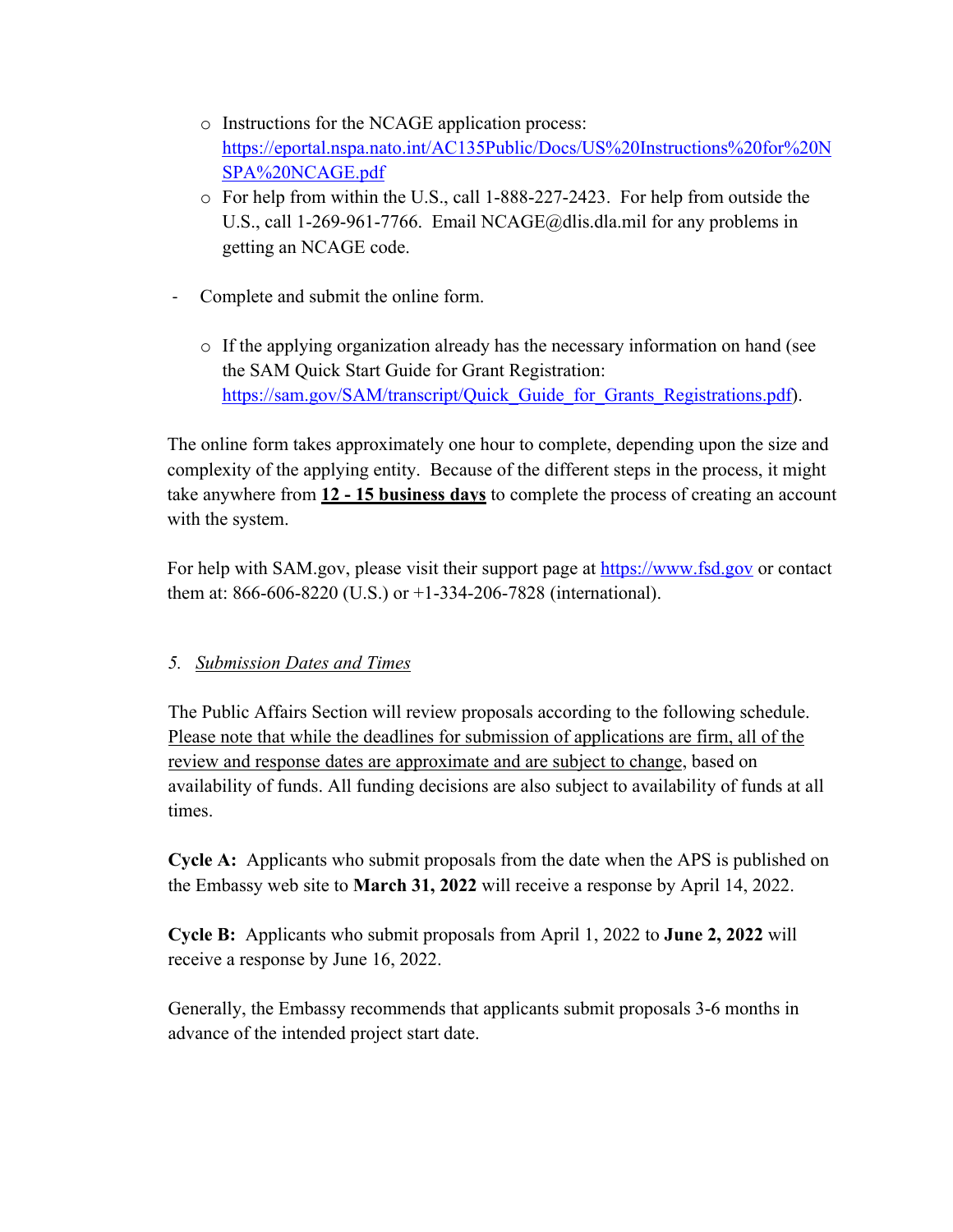- o Instructions for the NCAGE application process: https://eportal.nspa.nato.int/AC135Public/Docs/US%20Instructions%20for%20N SPA%20NCAGE.pdf
- o For help from within the U.S., call 1-888-227-2423. For help from outside the U.S., call 1-269-961-7766. Email NCAGE@dlis.dla.mil for any problems in getting an NCAGE code.
- Complete and submit the online form.
	- $\circ$  If the applying organization already has the necessary information on hand (see the SAM Quick Start Guide for Grant Registration: https://sam.gov/SAM/transcript/Quick Guide for Grants Registrations.pdf).

The online form takes approximately one hour to complete, depending upon the size and complexity of the applying entity. Because of the different steps in the process, it might take anywhere from **12 - 15 business days** to complete the process of creating an account with the system.

For help with SAM.gov, please visit their support page at https://www.fsd.gov or contact them at: 866-606-8220 (U.S.) or +1-334-206-7828 (international).

## *5. Submission Dates and Times*

The Public Affairs Section will review proposals according to the following schedule. Please note that while the deadlines for submission of applications are firm, all of the review and response dates are approximate and are subject to change, based on availability of funds. All funding decisions are also subject to availability of funds at all times.

**Cycle A:** Applicants who submit proposals from the date when the APS is published on the Embassy web site to **March 31, 2022** will receive a response by April 14, 2022.

**Cycle B:** Applicants who submit proposals from April 1, 2022 to **June 2, 2022** will receive a response by June 16, 2022.

Generally, the Embassy recommends that applicants submit proposals 3-6 months in advance of the intended project start date.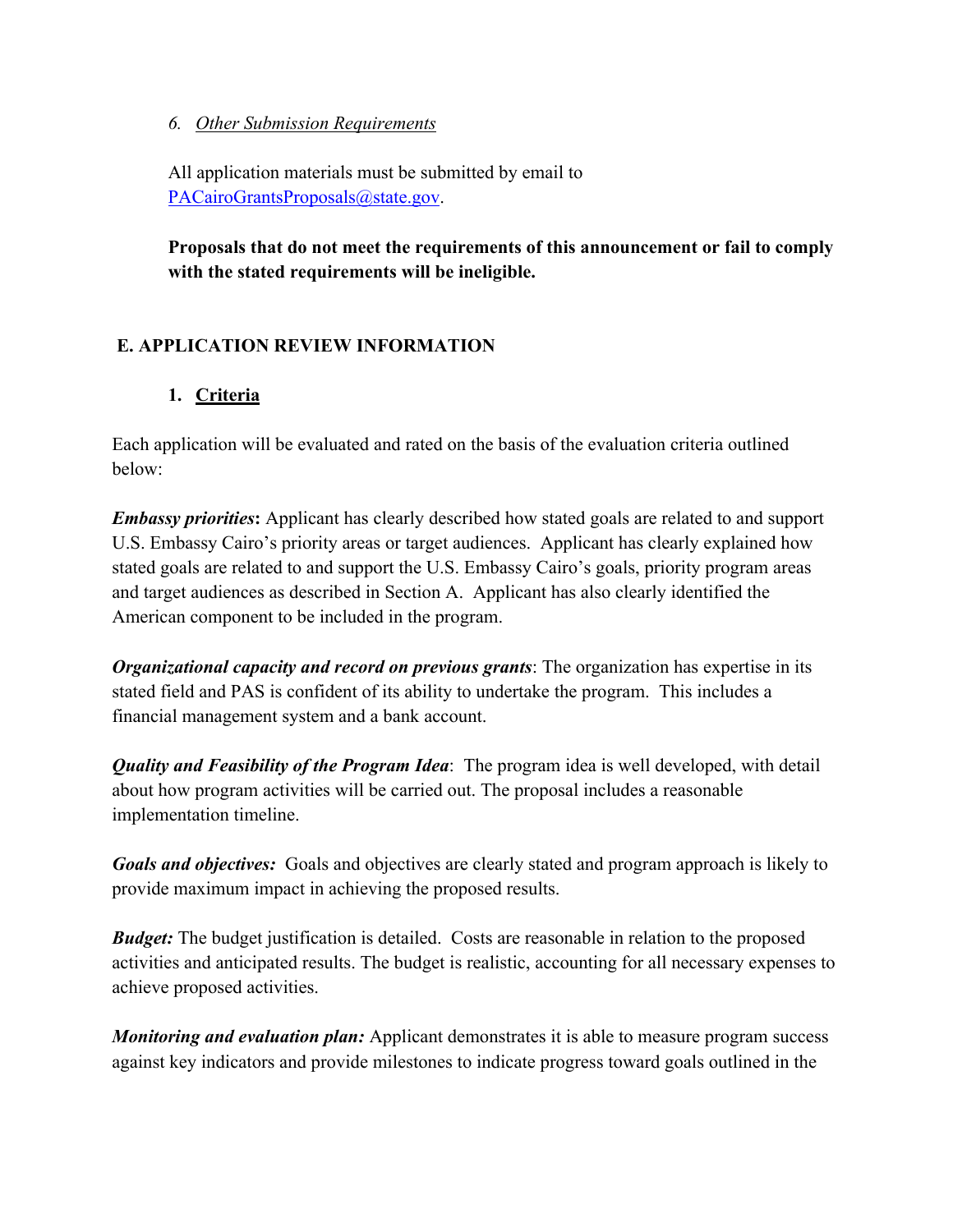#### *6. Other Submission Requirements*

All application materials must be submitted by email to PACairoGrantsProposals@state.gov.

**Proposals that do not meet the requirements of this announcement or fail to comply with the stated requirements will be ineligible.**

## **E. APPLICATION REVIEW INFORMATION**

### **1. Criteria**

Each application will be evaluated and rated on the basis of the evaluation criteria outlined below:

*Embassy priorities***:** Applicant has clearly described how stated goals are related to and support U.S. Embassy Cairo's priority areas or target audiences. Applicant has clearly explained how stated goals are related to and support the U.S. Embassy Cairo's goals, priority program areas and target audiences as described in Section A. Applicant has also clearly identified the American component to be included in the program.

*Organizational capacity and record on previous grants*: The organization has expertise in its stated field and PAS is confident of its ability to undertake the program. This includes a financial management system and a bank account.

*Quality and Feasibility of the Program Idea*: The program idea is well developed, with detail about how program activities will be carried out. The proposal includes a reasonable implementation timeline.

*Goals and objectives:* Goals and objectives are clearly stated and program approach is likely to provide maximum impact in achieving the proposed results.

*Budget:* The budget justification is detailed. Costs are reasonable in relation to the proposed activities and anticipated results. The budget is realistic, accounting for all necessary expenses to achieve proposed activities.

*Monitoring and evaluation plan:* Applicant demonstrates it is able to measure program success against key indicators and provide milestones to indicate progress toward goals outlined in the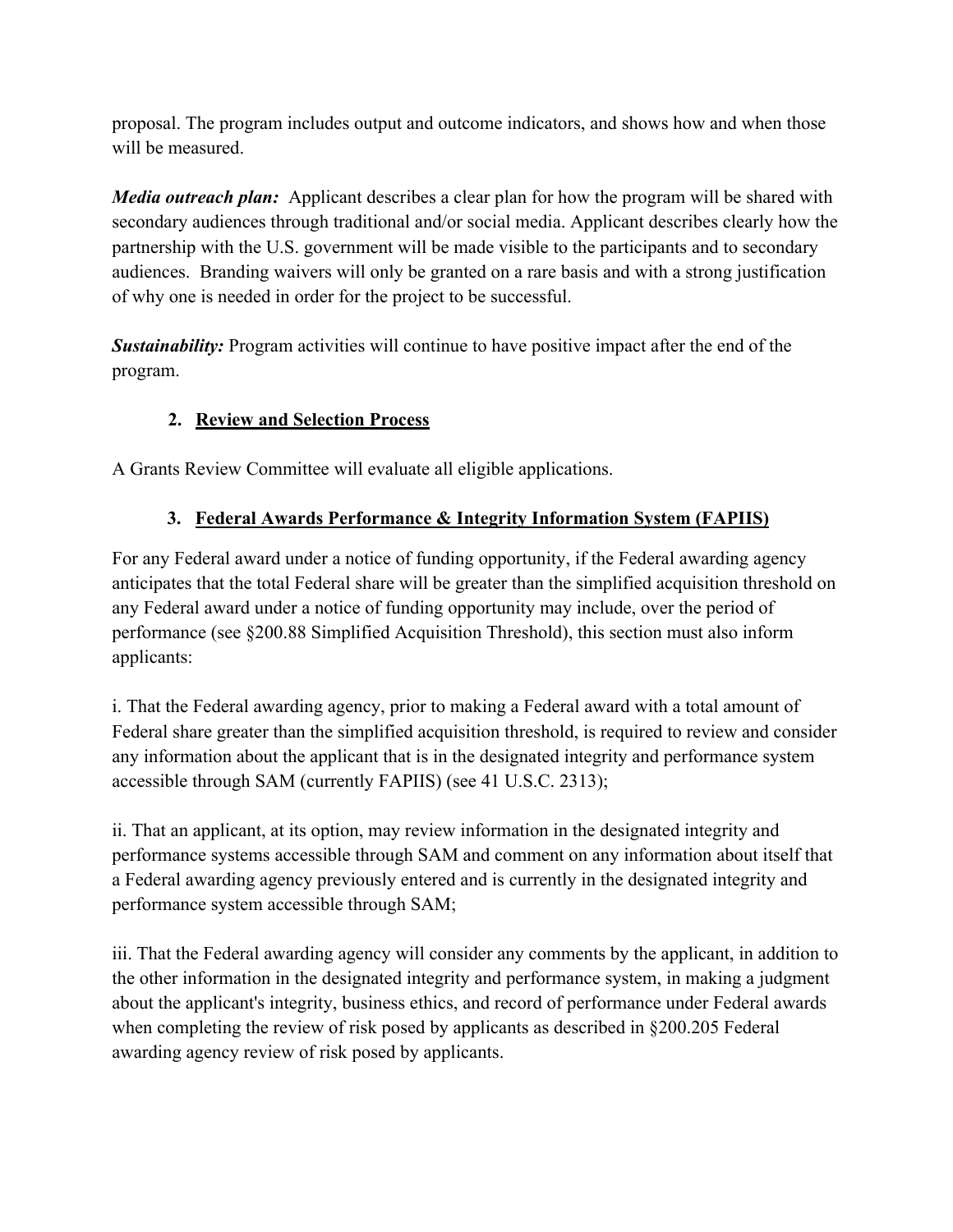proposal. The program includes output and outcome indicators, and shows how and when those will be measured.

*Media outreach plan:* Applicant describes a clear plan for how the program will be shared with secondary audiences through traditional and/or social media. Applicant describes clearly how the partnership with the U.S. government will be made visible to the participants and to secondary audiences. Branding waivers will only be granted on a rare basis and with a strong justification of why one is needed in order for the project to be successful.

*Sustainability:* Program activities will continue to have positive impact after the end of the program.

# **2. Review and Selection Process**

A Grants Review Committee will evaluate all eligible applications.

# **3. Federal Awards Performance & Integrity Information System (FAPIIS)**

For any Federal award under a notice of funding opportunity, if the Federal awarding agency anticipates that the total Federal share will be greater than the simplified acquisition threshold on any Federal award under a notice of funding opportunity may include, over the period of performance (see §200.88 Simplified Acquisition Threshold), this section must also inform applicants:

i. That the Federal awarding agency, prior to making a Federal award with a total amount of Federal share greater than the simplified acquisition threshold, is required to review and consider any information about the applicant that is in the designated integrity and performance system accessible through SAM (currently FAPIIS) (see 41 U.S.C. 2313);

ii. That an applicant, at its option, may review information in the designated integrity and performance systems accessible through SAM and comment on any information about itself that a Federal awarding agency previously entered and is currently in the designated integrity and performance system accessible through SAM;

iii. That the Federal awarding agency will consider any comments by the applicant, in addition to the other information in the designated integrity and performance system, in making a judgment about the applicant's integrity, business ethics, and record of performance under Federal awards when completing the review of risk posed by applicants as described in §200.205 Federal awarding agency review of risk posed by applicants.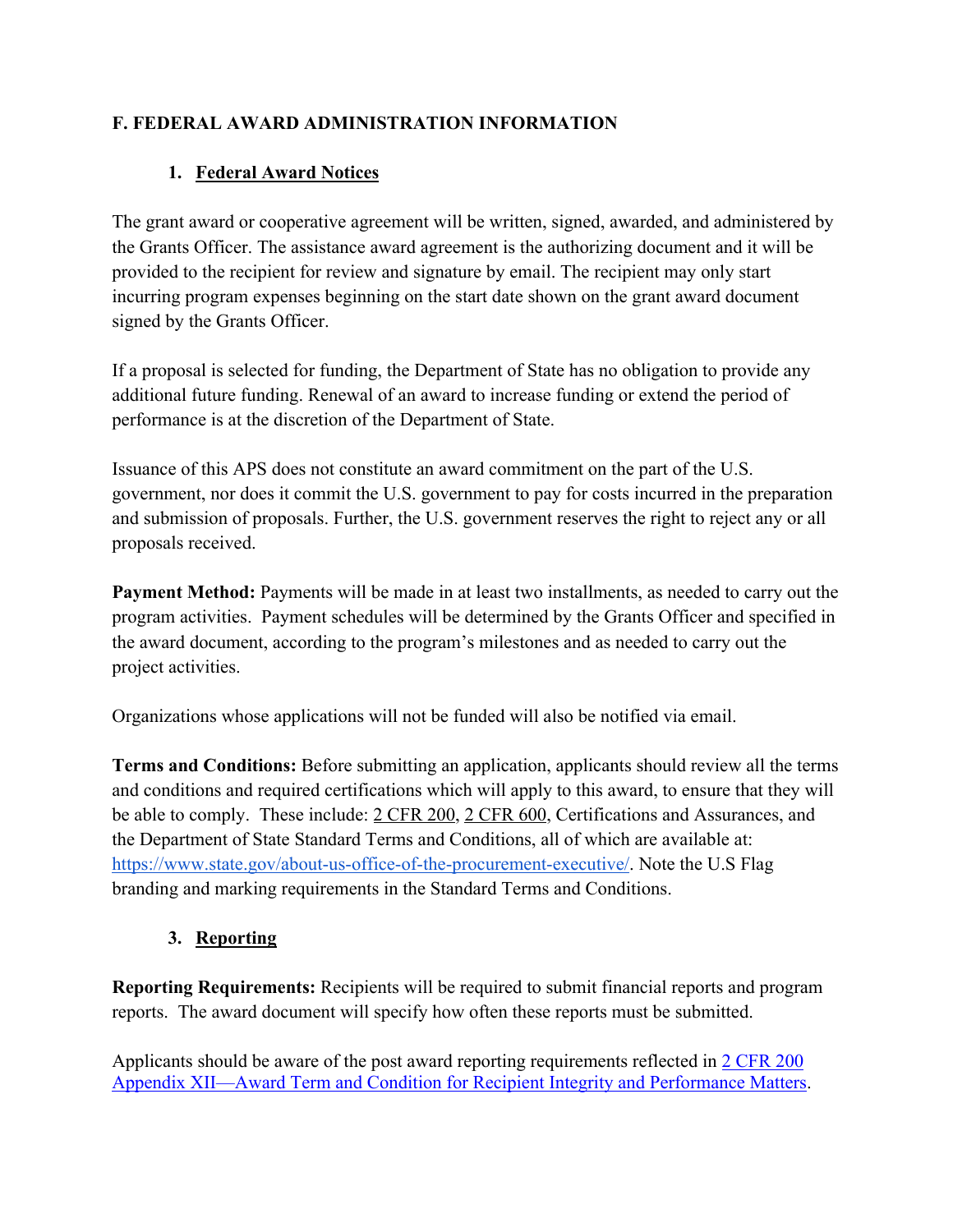# **F. FEDERAL AWARD ADMINISTRATION INFORMATION**

# **1. Federal Award Notices**

The grant award or cooperative agreement will be written, signed, awarded, and administered by the Grants Officer. The assistance award agreement is the authorizing document and it will be provided to the recipient for review and signature by email. The recipient may only start incurring program expenses beginning on the start date shown on the grant award document signed by the Grants Officer.

If a proposal is selected for funding, the Department of State has no obligation to provide any additional future funding. Renewal of an award to increase funding or extend the period of performance is at the discretion of the Department of State.

Issuance of this APS does not constitute an award commitment on the part of the U.S. government, nor does it commit the U.S. government to pay for costs incurred in the preparation and submission of proposals. Further, the U.S. government reserves the right to reject any or all proposals received.

**Payment Method:** Payments will be made in at least two installments, as needed to carry out the program activities. Payment schedules will be determined by the Grants Officer and specified in the award document, according to the program's milestones and as needed to carry out the project activities.

Organizations whose applications will not be funded will also be notified via email.

**Terms and Conditions:** Before submitting an application, applicants should review all the terms and conditions and required certifications which will apply to this award, to ensure that they will be able to comply. These include: 2 CFR 200, 2 CFR 600, Certifications and Assurances, and the Department of State Standard Terms and Conditions, all of which are available at: https://www.state.gov/about-us-office-of-the-procurement-executive/. Note the U.S Flag branding and marking requirements in the Standard Terms and Conditions.

## **3. Reporting**

**Reporting Requirements:** Recipients will be required to submit financial reports and program reports. The award document will specify how often these reports must be submitted.

Applicants should be aware of the post award reporting requirements reflected in 2 CFR 200 Appendix XII—Award Term and Condition for Recipient Integrity and Performance Matters.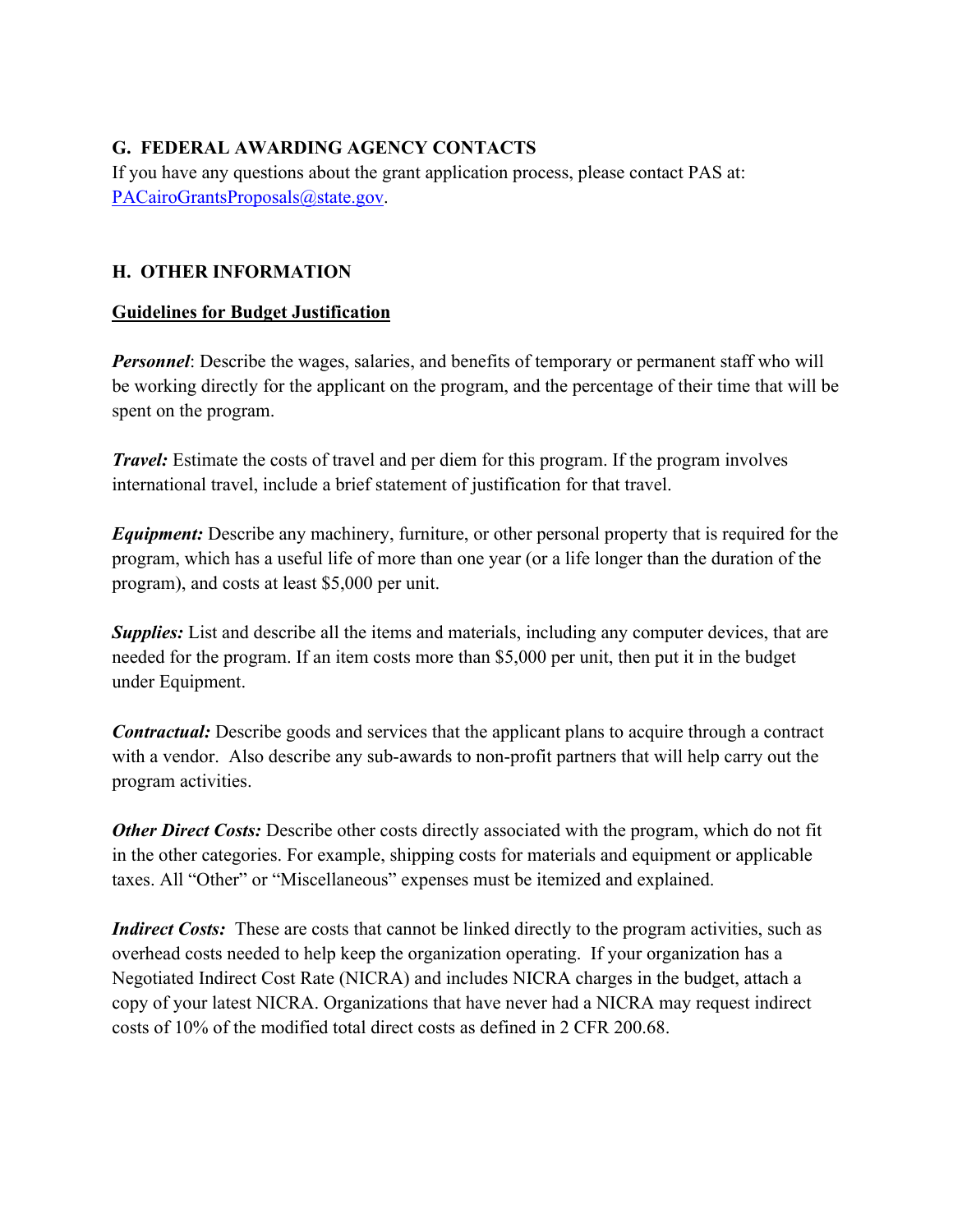# **G. FEDERAL AWARDING AGENCY CONTACTS**

If you have any questions about the grant application process, please contact PAS at: PACairoGrantsProposals@state.gov.

## **H. OTHER INFORMATION**

### **Guidelines for Budget Justification**

*Personnel*: Describe the wages, salaries, and benefits of temporary or permanent staff who will be working directly for the applicant on the program, and the percentage of their time that will be spent on the program.

*Travel:* Estimate the costs of travel and per diem for this program. If the program involves international travel, include a brief statement of justification for that travel.

*Equipment:* Describe any machinery, furniture, or other personal property that is required for the program, which has a useful life of more than one year (or a life longer than the duration of the program), and costs at least \$5,000 per unit.

*Supplies:* List and describe all the items and materials, including any computer devices, that are needed for the program. If an item costs more than \$5,000 per unit, then put it in the budget under Equipment.

*Contractual:* Describe goods and services that the applicant plans to acquire through a contract with a vendor. Also describe any sub-awards to non-profit partners that will help carry out the program activities.

*Other Direct Costs:* Describe other costs directly associated with the program, which do not fit in the other categories. For example, shipping costs for materials and equipment or applicable taxes. All "Other" or "Miscellaneous" expenses must be itemized and explained.

*Indirect Costs:* These are costs that cannot be linked directly to the program activities, such as overhead costs needed to help keep the organization operating. If your organization has a Negotiated Indirect Cost Rate (NICRA) and includes NICRA charges in the budget, attach a copy of your latest NICRA. Organizations that have never had a NICRA may request indirect costs of 10% of the modified total direct costs as defined in 2 CFR 200.68.